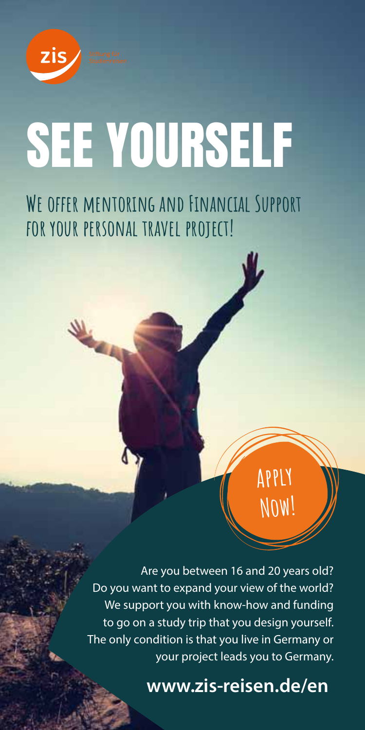zis

# See Yourself

WE OFFER MENTORING AND FINANCIAL SUPPORT **for your personal travel project!**

> Are you between 16 and 20 years old? Do you want to expand your view of the world? We support you with know-how and funding to go on a study trip that you design yourself. The only condition is that you live in Germany or your project leads you to Germany.

> > **www.zis-reisen.de/en**

**Apply**

Í

**Now!**